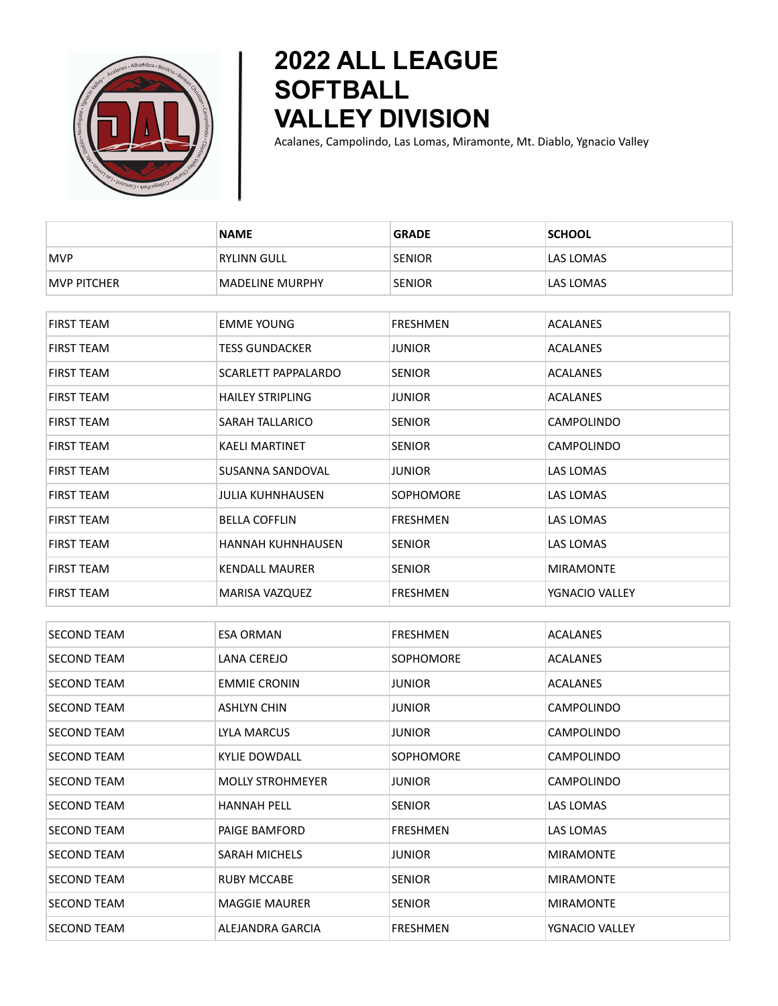

## **2022 ALL LEAGUE SOFTBALL VALLEY DIVISION**

Acalanes, Campolindo, Las Lomas, Miramonte, Mt. Diablo, Ygnacio Valley

|                    | <b>NAME</b>                | <b>GRADE</b>     | <b>SCHOOL</b>     |
|--------------------|----------------------------|------------------|-------------------|
| <b>MVP</b>         | <b>RYLINN GULL</b>         | <b>SENIOR</b>    | LAS LOMAS         |
| <b>MVP PITCHER</b> | <b>MADELINE MURPHY</b>     | <b>SENIOR</b>    | LAS LOMAS         |
|                    |                            |                  |                   |
| <b>FIRST TEAM</b>  | <b>EMME YOUNG</b>          | <b>FRESHMEN</b>  | <b>ACALANES</b>   |
| <b>FIRST TEAM</b>  | <b>TESS GUNDACKER</b>      | <b>JUNIOR</b>    | <b>ACALANES</b>   |
| FIRST TEAM         | <b>SCARLETT PAPPALARDO</b> | <b>SENIOR</b>    | ACALANES          |
| <b>FIRST TEAM</b>  | <b>HAILEY STRIPLING</b>    | <b>JUNIOR</b>    | <b>ACALANES</b>   |
| <b>FIRST TEAM</b>  | <b>SARAH TALLARICO</b>     | <b>SENIOR</b>    | CAMPOLINDO        |
| <b>FIRST TEAM</b>  | <b>KAELI MARTINET</b>      | <b>SENIOR</b>    | CAMPOLINDO        |
| <b>FIRST TEAM</b>  | SUSANNA SANDOVAL           | <b>JUNIOR</b>    | LAS LOMAS         |
| <b>FIRST TEAM</b>  | JULIA KUHNHAUSEN           | <b>SOPHOMORE</b> | LAS LOMAS         |
| <b>FIRST TEAM</b>  | <b>BELLA COFFLIN</b>       | <b>FRESHMEN</b>  | LAS LOMAS         |
| <b>FIRST TEAM</b>  | <b>HANNAH KUHNHAUSEN</b>   | <b>SENIOR</b>    | LAS LOMAS         |
| <b>FIRST TEAM</b>  | <b>KENDALL MAURER</b>      | <b>SENIOR</b>    | <b>MIRAMONTE</b>  |
| FIRST TEAM         | MARISA VAZQUEZ             | <b>FRESHMEN</b>  | YGNACIO VALLEY    |
|                    |                            |                  |                   |
| SECOND TEAM        | <b>ESA ORMAN</b>           | <b>FRESHMEN</b>  | <b>ACALANES</b>   |
| <b>SECOND TEAM</b> | LANA CEREJO                | <b>SOPHOMORE</b> | ACALANES          |
| <b>SECOND TEAM</b> | <b>EMMIE CRONIN</b>        | <b>JUNIOR</b>    | <b>ACALANES</b>   |
| <b>SECOND TEAM</b> | <b>ASHLYN CHIN</b>         | JUNIOR           | <b>CAMPOLINDO</b> |
| <b>SECOND TEAM</b> | LYLA MARCUS                | <b>JUNIOR</b>    | CAMPOLINDO        |
| <b>SECOND TEAM</b> | <b>KYLIE DOWDALL</b>       | <b>SOPHOMORE</b> | <b>CAMPOLINDO</b> |
| <b>SECOND TEAM</b> | <b>MOLLY STROHMEYER</b>    | <b>JUNIOR</b>    | CAMPOLINDO        |
| <b>SECOND TEAM</b> | <b>HANNAH PELL</b>         | <b>SENIOR</b>    | LAS LOMAS         |
| <b>SECOND TEAM</b> | PAIGE BAMFORD              | <b>FRESHMEN</b>  | LAS LOMAS         |
| <b>SECOND TEAM</b> | <b>SARAH MICHELS</b>       | <b>JUNIOR</b>    | <b>MIRAMONTE</b>  |
| SECOND TEAM        | <b>RUBY MCCABE</b>         | <b>SENIOR</b>    | <b>MIRAMONTE</b>  |
| <b>SECOND TEAM</b> | <b>MAGGIE MAURER</b>       | <b>SENIOR</b>    | <b>MIRAMONTE</b>  |
| SECOND TEAM        | ALEJANDRA GARCIA           | <b>FRESHMEN</b>  | YGNACIO VALLEY    |